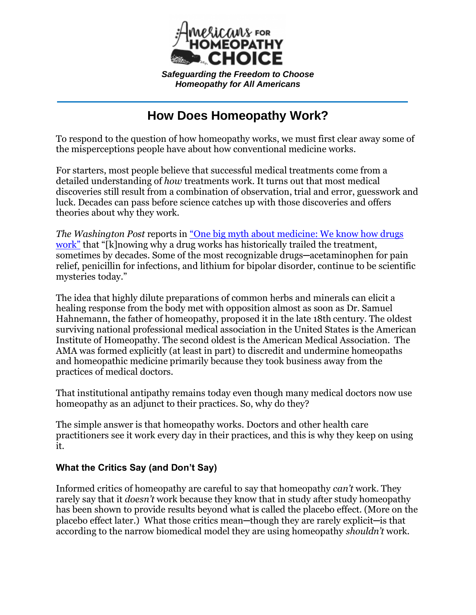

*S[afeguarding the Freedom to C](https://homeopathychoice.org/)hoose Homeopathy for All Americans*

# **How Does Homeopathy Work?**

To respond to the question of how homeopathy works, we must first clear away some of the misperceptions people have about how conventional medicine works.

For starters, most people believe that successful medical treatments come from a detailed understanding of *how* treatments work. It turns out that most medical discoveries still result from a combination of observation, trial and error, guesswork and luck. Decades can pass before science catches up with those discoveries and offers theories about why they work.

*The Washington Post* reports in ["One big myth about medicine: We know how drugs](https://www.washingtonpost.com/news/wonk/wp/2015/07/23/one-big-myth-about-medicine-we-know-how-drugs-work/)  [work"](https://www.washingtonpost.com/news/wonk/wp/2015/07/23/one-big-myth-about-medicine-we-know-how-drugs-work/) that "[k]nowing why a drug works has historically trailed the treatment, sometimes by decades. Some of the most recognizable drugs—acetaminophen for pain relief, penicillin for infections, and lithium for bipolar disorder, continue to be scientific mysteries today."

The idea that highly dilute preparations of common herbs and minerals can elicit a healing response from the body met with opposition almost as soon as Dr. Samuel Hahnemann, the father of homeopathy, proposed it in the late 18th century. The oldest surviving national professional medical association in the United States is the American Institute of Homeopathy. The second oldest is the American Medical Association. The AMA was formed explicitly (at least in part) to discredit and undermine homeopaths and homeopathic medicine primarily because they took business away from the practices of medical doctors.

That institutional antipathy remains today even though many medical doctors now use homeopathy as an adjunct to their practices. So, why do they?

The simple answer is that homeopathy works. Doctors and other health care practitioners see it work every day in their practices, and this is why they keep on using it.

## **What the Critics Say (and Don't Say)**

Informed critics of homeopathy are careful to say that homeopathy *can't* work. They rarely say that it *doesn't* work because they know that in study after study homeopathy has been shown to provide results beyond what is called the placebo effect. (More on the placebo effect later.) What those critics mean-though they are rarely explicit-is that according to the narrow biomedical model they are using homeopathy *shouldn't* work.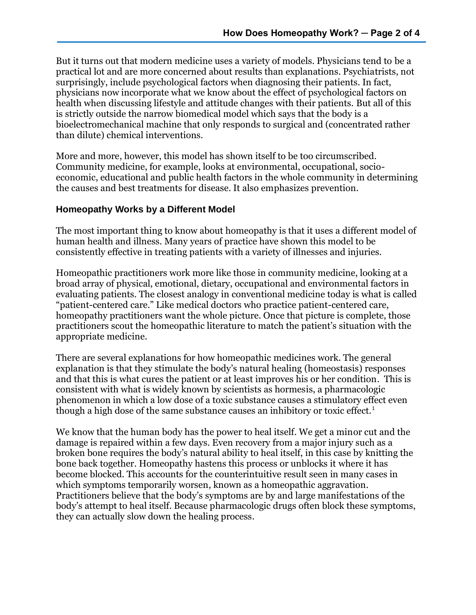But it turns out that modern medicine uses a variety of models. Physicians tend to be a practical lot and are more concerned about results than explanations. Psychiatrists, not surprisingly, include psychological factors when diagnosing their patients. In fact, physicians now incorporate what we know about the effect of psychological factors on health when discussing lifestyle and attitude changes with their patients. But all of this is strictly outside the narrow biomedical model which says that the body is a bioelectromechanical machine that only responds to surgical and (concentrated rather than dilute) chemical interventions.

More and more, however, this model has shown itself to be too circumscribed. Community medicine, for example, looks at environmental, occupational, socioeconomic, educational and public health factors in the whole community in determining the causes and best treatments for disease. It also emphasizes prevention.

#### **Homeopathy Works by a Different Model**

The most important thing to know about homeopathy is that it uses a different model of human health and illness. Many years of practice have shown this model to be consistently effective in treating patients with a variety of illnesses and injuries.

Homeopathic practitioners work more like those in community medicine, looking at a broad array of physical, emotional, dietary, occupational and environmental factors in evaluating patients. The closest analogy in conventional medicine today is what is called "patient-centered care." Like medical doctors who practice patient-centered care, homeopathy practitioners want the whole picture. Once that picture is complete, those practitioners scout the homeopathic literature to match the patient's situation with the appropriate medicine.

There are several explanations for how homeopathic medicines work. The general explanation is that they stimulate the body's natural healing (homeostasis) responses and that this is what cures the patient or at least improves his or her condition. This is consistent with what is widely known by scientists as hormesis, a pharmacologic phenomenon in which a low dose of a toxic substance causes a stimulatory effect even though a high dose of the same substance causes an inhibitory or toxic effect.<sup>1</sup>

We know that the human body has the power to heal itself. We get a minor cut and the damage is repaired within a few days. Even recovery from a major injury such as a broken bone requires the body's natural ability to heal itself, in this case by knitting the bone back together. Homeopathy hastens this process or unblocks it where it has become blocked. This accounts for the counterintuitive result seen in many cases in which symptoms temporarily worsen, known as a homeopathic aggravation. Practitioners believe that the body's symptoms are by and large manifestations of the body's attempt to heal itself. Because pharmacologic drugs often block these symptoms, they can actually slow down the healing process.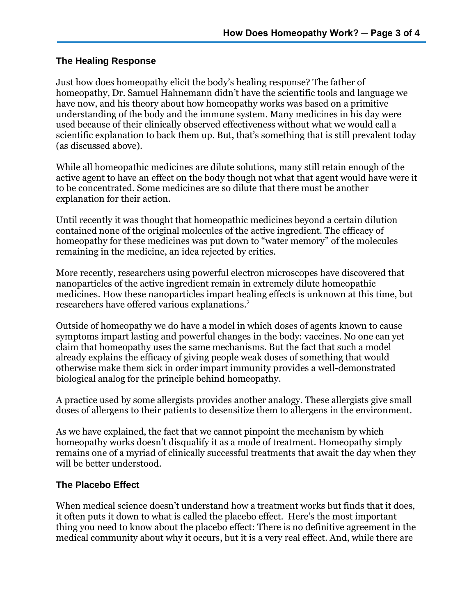### **The Healing Response**

Just how does homeopathy elicit the body's healing response? The father of homeopathy, Dr. Samuel Hahnemann didn't have the scientific tools and language we have now, and his theory about how homeopathy works was based on a primitive understanding of the body and the immune system. Many medicines in his day were used because of their clinically observed effectiveness without what we would call a scientific explanation to back them up. But, that's something that is still prevalent today (as discussed above).

While all homeopathic medicines are dilute solutions, many still retain enough of the active agent to have an effect on the body though not what that agent would have were it to be concentrated. Some medicines are so dilute that there must be another explanation for their action.

Until recently it was thought that homeopathic medicines beyond a certain dilution contained none of the original molecules of the active ingredient. The efficacy of homeopathy for these medicines was put down to "water memory" of the molecules remaining in the medicine, an idea rejected by critics.

More recently, researchers using powerful electron microscopes have discovered that nanoparticles of the active ingredient remain in extremely dilute homeopathic medicines. How these nanoparticles impart healing effects is unknown at this time, but researchers have offered various explanations. 2

Outside of homeopathy we do have a model in which doses of agents known to cause symptoms impart lasting and powerful changes in the body: vaccines. No one can yet claim that homeopathy uses the same mechanisms. But the fact that such a model already explains the efficacy of giving people weak doses of something that would otherwise make them sick in order impart immunity provides a well-demonstrated biological analog for the principle behind homeopathy.

A practice used by some allergists provides another analogy. These allergists give small doses of allergens to their patients to desensitize them to allergens in the environment.

As we have explained, the fact that we cannot pinpoint the mechanism by which homeopathy works doesn't disqualify it as a mode of treatment. Homeopathy simply remains one of a myriad of clinically successful treatments that await the day when they will be better understood.

#### **The Placebo Effect**

When medical science doesn't understand how a treatment works but finds that it does, it often puts it down to what is called the placebo effect. Here's the most important thing you need to know about the placebo effect: There is no definitive agreement in the medical community about why it occurs, but it is a very real effect. And, while there are